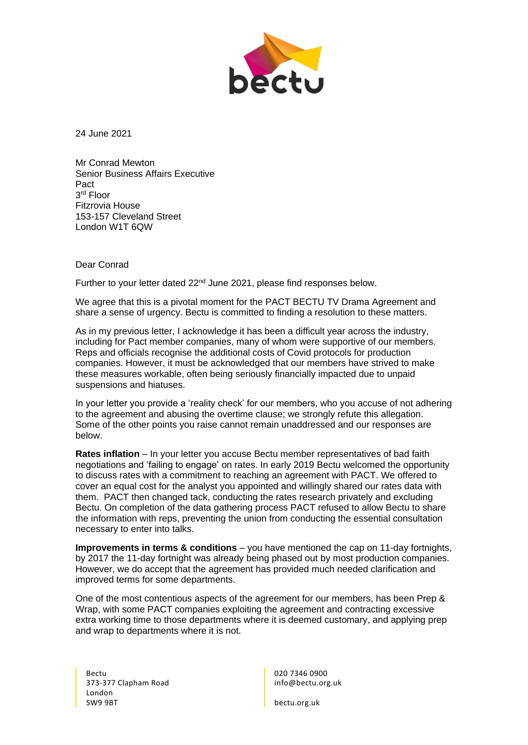

24 June 2021

Mr Conrad Mewton Senior Business Affairs Executive Pact 3 rd Floor Fitzrovia House 153-157 Cleveland Street London W1T 6QW

## Dear Conrad

Further to your letter dated 22<sup>nd</sup> June 2021, please find responses below.

We agree that this is a pivotal moment for the PACT BECTU TV Drama Agreement and share a sense of urgency. Bectu is committed to finding a resolution to these matters.

As in my previous letter, I acknowledge it has been a difficult year across the industry, including for Pact member companies, many of whom were supportive of our members. Reps and officials recognise the additional costs of Covid protocols for production companies. However, it must be acknowledged that our members have strived to make these measures workable, often being seriously financially impacted due to unpaid suspensions and hiatuses.

In your letter you provide a 'reality check' for our members, who you accuse of not adhering to the agreement and abusing the overtime clause; we strongly refute this allegation. Some of the other points you raise cannot remain unaddressed and our responses are below.

**Rates inflation** – In your letter you accuse Bectu member representatives of bad faith negotiations and 'failing to engage' on rates. In early 2019 Bectu welcomed the opportunity to discuss rates with a commitment to reaching an agreement with PACT. We offered to cover an equal cost for the analyst you appointed and willingly shared our rates data with them. PACT then changed tack, conducting the rates research privately and excluding Bectu. On completion of the data gathering process PACT refused to allow Bectu to share the information with reps, preventing the union from conducting the essential consultation necessary to enter into talks.

**Improvements in terms & conditions** – you have mentioned the cap on 11-day fortnights, by 2017 the 11-day fortnight was already being phased out by most production companies. However, we do accept that the agreement has provided much needed clarification and improved terms for some departments.

One of the most contentious aspects of the agreement for our members, has been Prep & Wrap, with some PACT companies exploiting the agreement and contracting excessive extra working time to those departments where it is deemed customary, and applying prep and wrap to departments where it is not.

Bectu 373-377 Clapham Road London SW9 9BT

020 7346 0900 info@bectu.org.uk

bectu.org.uk